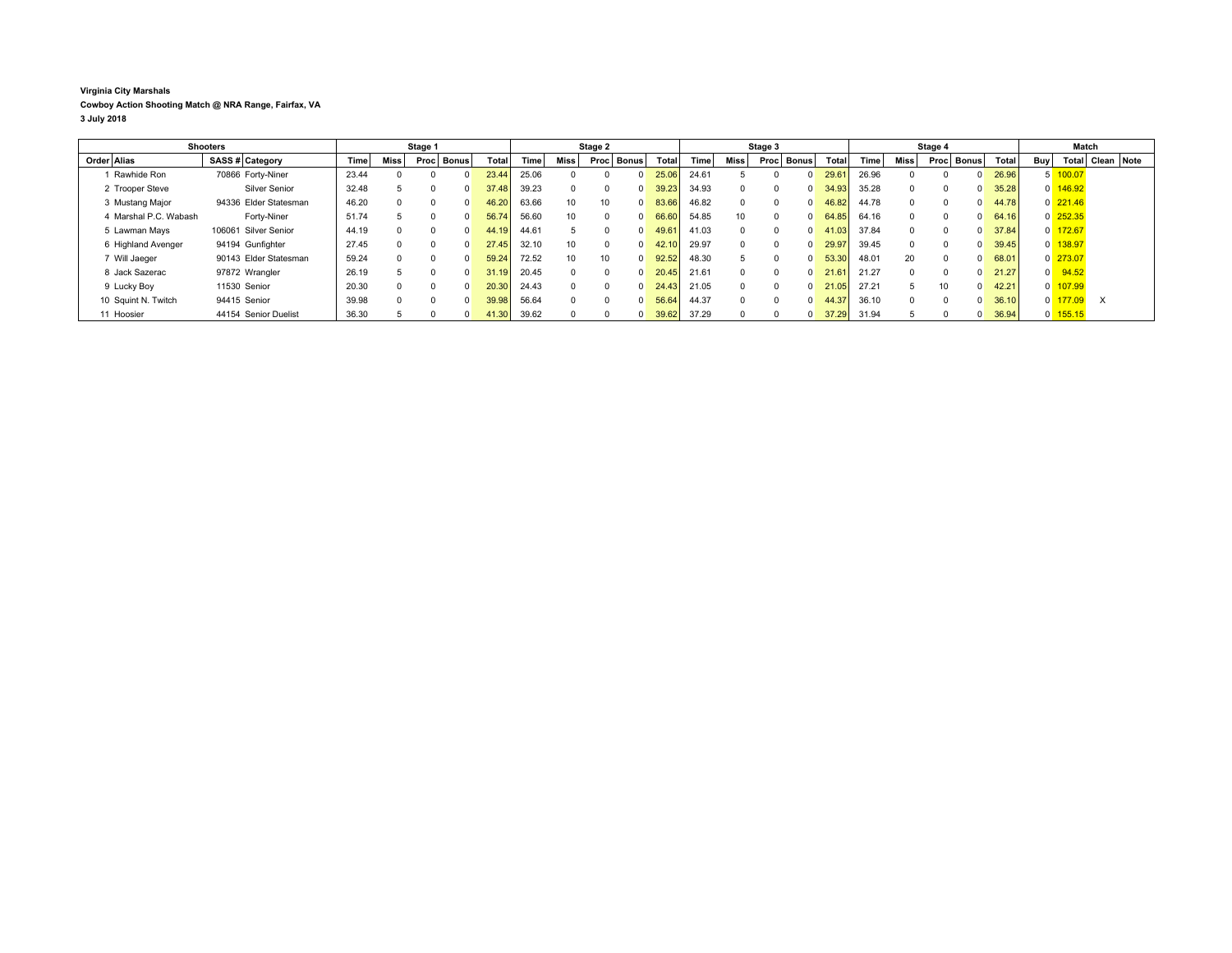## **Virginia City Marshals**

**Cowboy Action Shooting Match @ NRA Range, Fairfax, VA**

**3 July 2018**

| <b>Shooters</b> |                       |  | Stage 1               |       |      |      | Stage 2      |       |       |                 | Stage 3 |              |       |       | Stage 4     |       |              |       | Match |          |          |       |       |                |                      |            |  |
|-----------------|-----------------------|--|-----------------------|-------|------|------|--------------|-------|-------|-----------------|---------|--------------|-------|-------|-------------|-------|--------------|-------|-------|----------|----------|-------|-------|----------------|----------------------|------------|--|
|                 | Order Alias           |  | SASS # Category       | Time  | Miss | Proc | <b>Bonus</b> | Total | Time  | Miss            | Proc    | <b>Bonus</b> | Total | Time: | <b>Miss</b> | Procl | <b>Bonus</b> | Total | Time  | Miss     | Proc     | Bonus | Total | <b>Buv</b>     | Total                | Clean Note |  |
|                 | Rawhide Ron           |  | 70866 Forty-Niner     | 23.44 |      |      |              | 23.44 | 25.06 |                 |         | n            | 25.06 | 24.61 |             |       |              | 29.6  | 26.96 |          |          |       | 26.96 |                | 100.07               |            |  |
|                 | 2 Trooper Steve       |  | Silver Senior         | 32.48 |      |      |              | 37.48 | 39.23 | $\Omega$        |         | $\Omega$     | 39.23 | 34.93 |             |       | 0.           | 34.93 | 35.28 | $\Omega$ |          |       | 35.28 |                | $0$ 146.92           |            |  |
|                 | 3 Mustang Major       |  | 94336 Elder Statesman | 46.20 |      |      |              | 46.20 | 63.66 | 10 <sup>1</sup> | 10      | $\Omega$     | 83.66 | 46.82 |             |       |              | 46.82 | 44.78 | 0        |          |       | 44.78 |                | $0\overline{221.46}$ |            |  |
|                 | 4 Marshal P.C. Wabash |  | Forty-Niner           | 51.74 |      |      |              | 56.74 | 56.60 | 10 <sup>1</sup> |         | $\Omega$     | 66.60 | 54.85 | 10          |       | n.           | 64.85 | 64.16 | $\Omega$ |          |       | 64.16 |                | $0$ 252.35           |            |  |
|                 | 5 Lawman Mays         |  | 106061 Silver Senior  | 44.19 |      |      |              | 44.19 | 44.61 |                 |         | $\Omega$     | 49.61 | 41.03 |             |       | n.           | 41.03 | 37.84 | $\Omega$ | $\Omega$ |       | 37.84 |                | $0$ 172.67           |            |  |
|                 | 6 Highland Avenger    |  | 94194 Gunfighter      | 27.45 |      |      |              | 27.45 | 32.10 | 10 <sup>1</sup> |         | $\Omega$     |       | 29.97 |             |       |              | 29.97 | 39.45 | $\Omega$ | $\Omega$ |       | 39.45 |                | $0$ 138.97           |            |  |
|                 | 7 Will Jaeger         |  | 90143 Elder Statesman | 59.24 |      |      |              | 59.24 | 72.52 | 10 <sup>1</sup> | 10      | $\Omega$     | 92.52 | 48.30 |             |       |              | 53.30 | 48.01 | 20       | $\Omega$ |       | 68.01 |                | $0$ 273.07           |            |  |
|                 | 8 Jack Sazerac        |  | 97872 Wrangler        | 26.19 |      |      |              | 31.19 | 20.45 | $\Omega$        |         | $\Omega$     | 20.45 | 21.61 |             |       | $\Omega$     | 21.61 | 21.27 | $\Omega$ | $\Omega$ |       | 21.27 | $\overline{0}$ | 94.52                |            |  |
|                 | 9 Lucky Boy           |  | 11530 Senior          | 20.30 |      |      |              | 20.30 | 24.43 | $\Omega$        |         | $\Omega$     | 24.43 | 21.05 |             |       |              | 21.05 | 27.21 | 5        | 10       |       | 42.21 |                | $0$ 107.99           |            |  |
|                 | 10 Squint N. Twitch   |  | 94415 Senior          | 39.98 |      |      |              | 39.98 | 56.64 | $\Omega$        |         | $\Omega$     | 56.64 | 44.37 |             |       |              | 44.37 | 36.10 | 0        |          |       | 36.10 | $\mathbf{0}$   | 177.09               | $\times$   |  |
|                 | 11 Hoosier            |  | 44154 Senior Duelist  | 36.30 |      |      |              | 41.30 | 39.62 |                 |         |              | 39.62 | 37.29 |             |       |              | 37.29 | 31.94 |          |          |       | 36.94 |                | $0$ 155.15           |            |  |